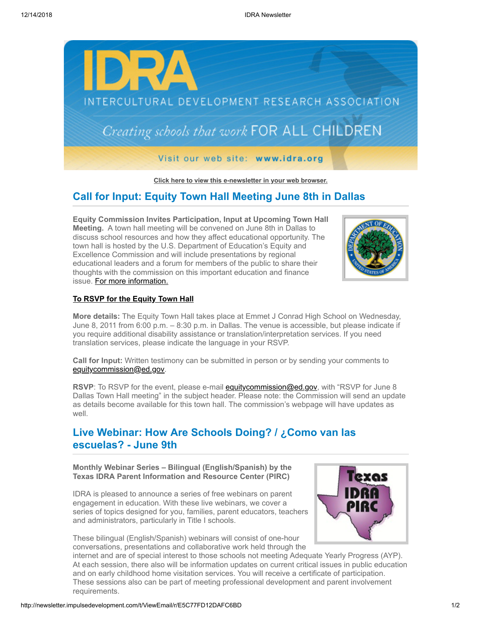

**[Click here to view this e-newsletter in your web browser.](http://newsletter.impulsedevelopment.com/t/r/e/jddudtk/l/)**

# **Call for Input: Equity Town Hall Meeting June 8th in Dallas**

**Equity Commission Invites Participation, Input at Upcoming Town Hall Meeting.** A town hall meeting will be convened on June 8th in Dallas to discuss school resources and how they affect educational opportunity. The town hall is hosted by the U.S. Department of Education's Equity and Excellence Commission and will include presentations by regional educational leaders and a forum for members of the public to share their thoughts with the commission on this important education and finance issue. [For more information.](http://newsletter.impulsedevelopment.com/t/r/l/jddudtk/l/y/)



### **[To RSVP for the Equity Town Hall](mailto:equitycommission@ed.gov?subject=RSVP%20for%20June%208%20Dallas%20Town%20Hall%20meeting)**

**More details:** The Equity Town Hall takes place at Emmet J Conrad High School on Wednesday, June 8, 2011 from 6:00 p.m. – 8:30 p.m. in Dallas. The venue is accessible, but please indicate if you require additional disability assistance or translation/interpretation services. If you need translation services, please indicate the language in your RSVP.

**Call for Input:** Written testimony can be submitted in person or by sending your comments to [equitycommission@ed.gov.](mailto:equitycommission@ed.gov)

**RSVP**: To RSVP for the event, please e-mail **equitycommission@ed.gov**, with "RSVP for June 8 Dallas Town Hall meeting" in the subject header. Please note: the Commission will send an update as details become available for this town hall. The commission's webpage will have updates as well.

# **Live Webinar: How Are Schools Doing? / ¿Como van las escuelas? - June 9th**

**Monthly Webinar Series – Bilingual (English/Spanish) by the Texas IDRA Parent Information and Resource Center (PIRC)**

IDRA is pleased to announce a series of free webinars on parent engagement in education. With these live webinars, we cover a series of topics designed for you, families, parent educators, teachers and administrators, particularly in Title I schools.

These bilingual (English/Spanish) webinars will consist of one-hour conversations, presentations and collaborative work held through the



internet and are of special interest to those schools not meeting Adequate Yearly Progress (AYP). At each session, there also will be information updates on current critical issues in public education and on early childhood home visitation services. You will receive a certificate of participation. These sessions also can be part of meeting professional development and parent involvement requirements.